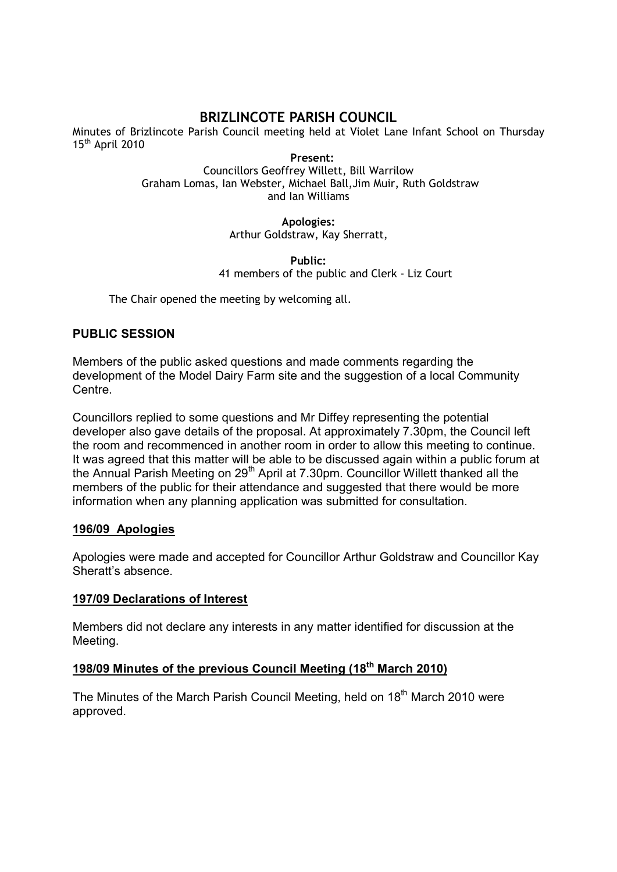# **BRIZLINCOTE PARISH COUNCIL**

Minutes of Brizlincote Parish Council meeting held at Violet Lane Infant School on Thursday 15<sup>th</sup> April 2010

**Present:**  Councillors Geoffrey Willett, Bill Warrilow Graham Lomas, Ian Webster, Michael Ball,Jim Muir, Ruth Goldstraw and Ian Williams

> **Apologies:**  Arthur Goldstraw, Kay Sherratt,

**Public:**  41 members of the public and Clerk - Liz Court

The Chair opened the meeting by welcoming all.

## **PUBLIC SESSION**

Members of the public asked questions and made comments regarding the development of the Model Dairy Farm site and the suggestion of a local Community Centre.

Councillors replied to some questions and Mr Diffey representing the potential developer also gave details of the proposal. At approximately 7.30pm, the Council left the room and recommenced in another room in order to allow this meeting to continue. It was agreed that this matter will be able to be discussed again within a public forum at the Annual Parish Meeting on  $29<sup>th</sup>$  April at 7.30pm. Councillor Willett thanked all the members of the public for their attendance and suggested that there would be more information when any planning application was submitted for consultation.

## **196/09 Apologies**

Apologies were made and accepted for Councillor Arthur Goldstraw and Councillor Kay Sheratt's absence.

## **197/09 Declarations of Interest**

Members did not declare any interests in any matter identified for discussion at the Meeting.

## **198/09 Minutes of the previous Council Meeting (18th March 2010)**

The Minutes of the March Parish Council Meeting, held on 18<sup>th</sup> March 2010 were approved.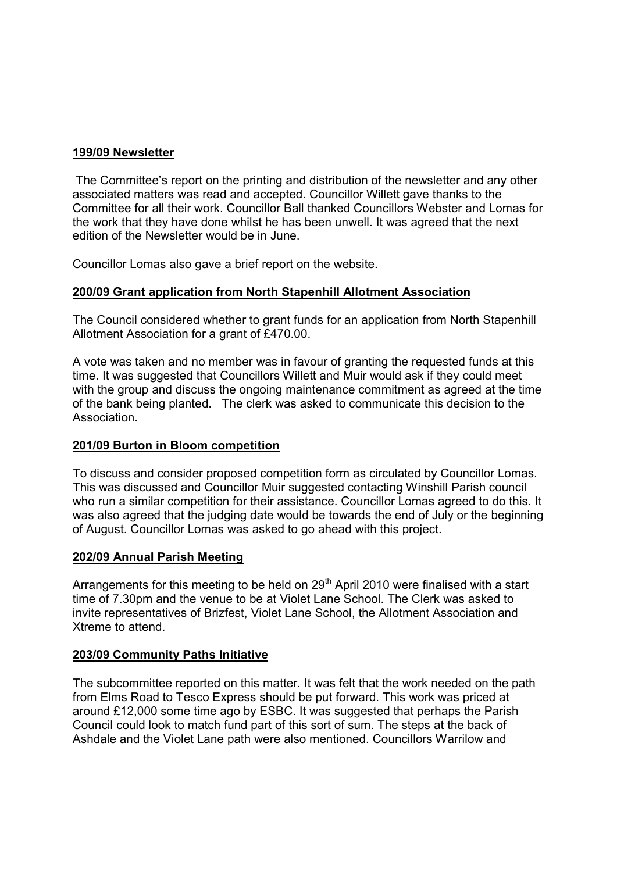### **199/09 Newsletter**

 The Committee's report on the printing and distribution of the newsletter and any other associated matters was read and accepted. Councillor Willett gave thanks to the Committee for all their work. Councillor Ball thanked Councillors Webster and Lomas for the work that they have done whilst he has been unwell. It was agreed that the next edition of the Newsletter would be in June.

Councillor Lomas also gave a brief report on the website.

## **200/09 Grant application from North Stapenhill Allotment Association**

The Council considered whether to grant funds for an application from North Stapenhill Allotment Association for a grant of £470.00.

A vote was taken and no member was in favour of granting the requested funds at this time. It was suggested that Councillors Willett and Muir would ask if they could meet with the group and discuss the ongoing maintenance commitment as agreed at the time of the bank being planted. The clerk was asked to communicate this decision to the **Association** 

#### **201/09 Burton in Bloom competition**

To discuss and consider proposed competition form as circulated by Councillor Lomas. This was discussed and Councillor Muir suggested contacting Winshill Parish council who run a similar competition for their assistance. Councillor Lomas agreed to do this. It was also agreed that the judging date would be towards the end of July or the beginning of August. Councillor Lomas was asked to go ahead with this project.

#### **202/09 Annual Parish Meeting**

Arrangements for this meeting to be held on  $29<sup>th</sup>$  April 2010 were finalised with a start time of 7.30pm and the venue to be at Violet Lane School. The Clerk was asked to invite representatives of Brizfest, Violet Lane School, the Allotment Association and Xtreme to attend.

#### **203/09 Community Paths Initiative**

The subcommittee reported on this matter. It was felt that the work needed on the path from Elms Road to Tesco Express should be put forward. This work was priced at around £12,000 some time ago by ESBC. It was suggested that perhaps the Parish Council could look to match fund part of this sort of sum. The steps at the back of Ashdale and the Violet Lane path were also mentioned. Councillors Warrilow and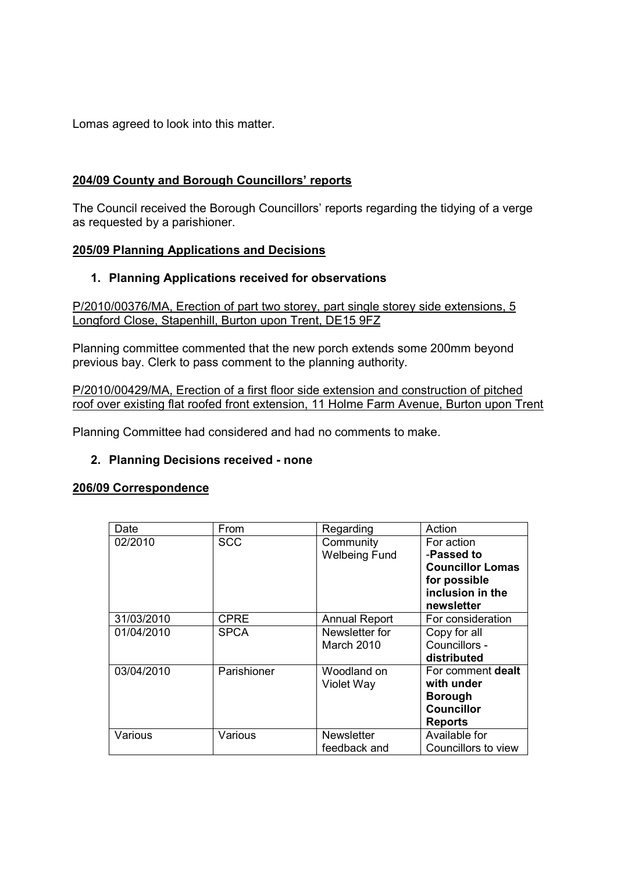Lomas agreed to look into this matter.

## **204/09 County and Borough Councillors' reports**

The Council received the Borough Councillors' reports regarding the tidying of a verge as requested by a parishioner.

## **205/09 Planning Applications and Decisions**

## **1. Planning Applications received for observations**

P/2010/00376/MA, Erection of part two storey, part single storey side extensions, 5 Longford Close, Stapenhill, Burton upon Trent, DE15 9FZ

Planning committee commented that the new porch extends some 200mm beyond previous bay. Clerk to pass comment to the planning authority.

P/2010/00429/MA, Erection of a first floor side extension and construction of pitched roof over existing flat roofed front extension, 11 Holme Farm Avenue, Burton upon Trent

Planning Committee had considered and had no comments to make.

## **2. Planning Decisions received - none**

#### **206/09 Correspondence**

| Date       | From        | Regarding            | Action                  |
|------------|-------------|----------------------|-------------------------|
| 02/2010    | <b>SCC</b>  | Community            | For action              |
|            |             | <b>Welbeing Fund</b> | -Passed to              |
|            |             |                      | <b>Councillor Lomas</b> |
|            |             |                      | for possible            |
|            |             |                      | inclusion in the        |
|            |             |                      | newsletter              |
| 31/03/2010 | <b>CPRE</b> | <b>Annual Report</b> | For consideration       |
| 01/04/2010 | <b>SPCA</b> | Newsletter for       | Copy for all            |
|            |             | March 2010           | Councillors -           |
|            |             |                      | distributed             |
| 03/04/2010 | Parishioner | Woodland on          | For comment dealt       |
|            |             | Violet Way           | with under              |
|            |             |                      | <b>Borough</b>          |
|            |             |                      | <b>Councillor</b>       |
|            |             |                      | <b>Reports</b>          |
| Various    | Various     | <b>Newsletter</b>    | Available for           |
|            |             | feedback and         | Councillors to view     |